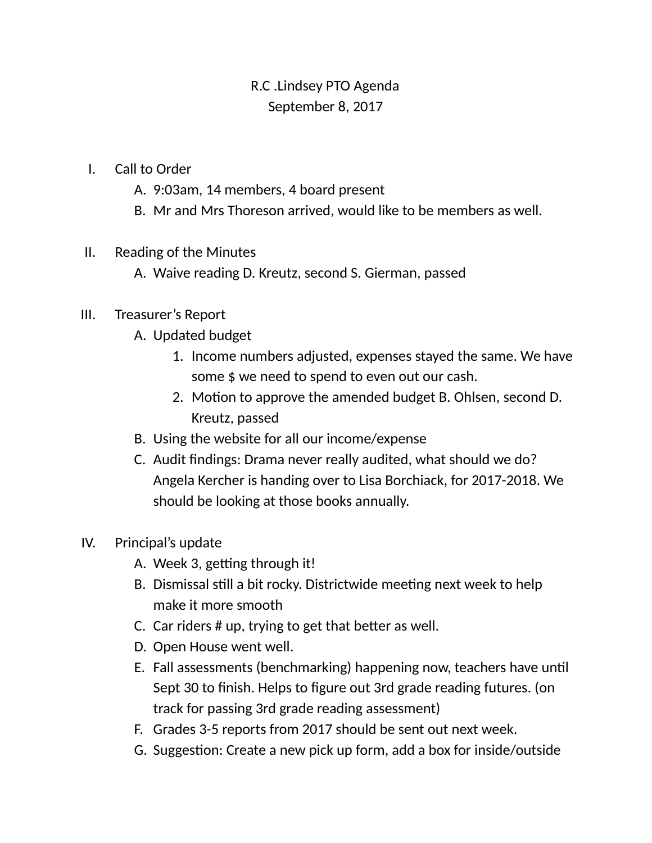# R.C .Lindsey PTO Agenda September 8, 2017

#### I. Call to Order

- A. 9:03am, 14 members, 4 board present
- B. Mr and Mrs Thoreson arrived, would like to be members as well.

#### II. Reading of the Minutes

A. Waive reading D. Kreutz, second S. Gierman, passed

### III. Treasurer's Report

- A. Updated budget
	- 1. Income numbers adjusted, expenses stayed the same. We have some \$ we need to spend to even out our cash.
	- 2. Motion to approve the amended budget B. Ohlsen, second D. Kreutz, passed
- B. Using the website for all our income/expense
- C. Audit findings: Drama never really audited, what should we do? Angela Kercher is handing over to Lisa Borchiack, for 2017-2018. We should be looking at those books annually.

### IV. Principal's update

- A. Week 3, getting through it!
- B. Dismissal still a bit rocky. Districtwide meeting next week to help make it more smooth
- C. Car riders  $#$  up, trying to get that better as well.
- D. Open House went well.
- E. Fall assessments (benchmarking) happening now, teachers have until Sept 30 to finish. Helps to figure out 3rd grade reading futures. (on track for passing 3rd grade reading assessment)
- F. Grades 3-5 reports from 2017 should be sent out next week.
- G. Suggestion: Create a new pick up form, add a box for inside/outside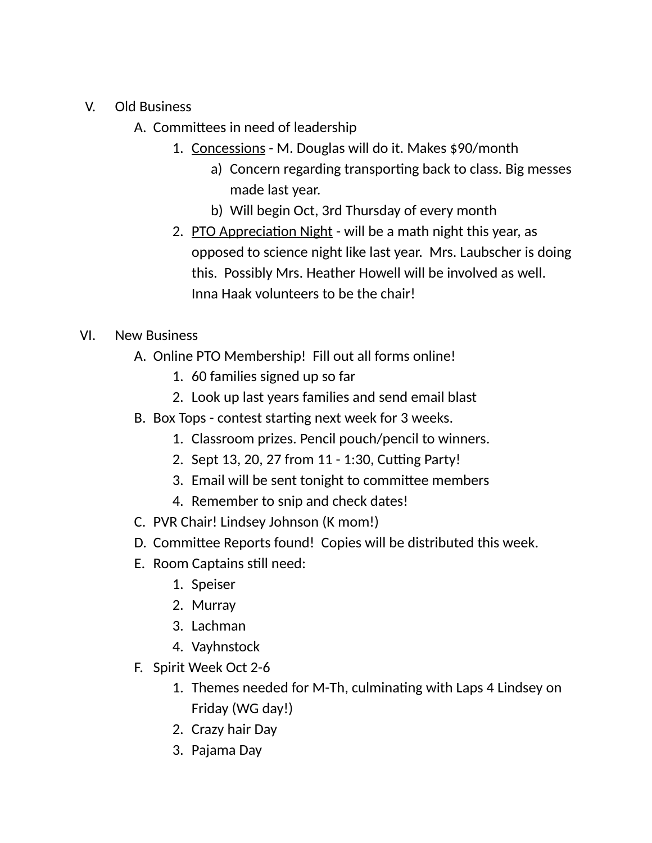- V. Old Business
	- A. Committees in need of leadership
		- 1. Concessions M. Douglas will do it. Makes \$90/month
			- a) Concern regarding transporting back to class. Big messes made last year.
			- b) Will begin Oct, 3rd Thursday of every month
		- 2. PTO Appreciation Night will be a math night this year, as opposed to science night like last year. Mrs. Laubscher is doing this. Possibly Mrs. Heather Howell will be involved as well. Inna Haak volunteers to be the chair!

## VI. New Business

- A. Online PTO Membership! Fill out all forms online!
	- 1. 60 families signed up so far
	- 2. Look up last years families and send email blast
- B. Box Tops contest starting next week for 3 weeks.
	- 1. Classroom prizes. Pencil pouch/pencil to winners.
	- 2. Sept 13, 20, 27 from 11 1:30, Cutting Party!
	- 3. Email will be sent tonight to committee members
	- 4. Remember to snip and check dates!
- C. PVR Chair! Lindsey Johnson (K mom!)
- D. Committee Reports found! Copies will be distributed this week.
- E. Room Captains still need:
	- 1. Speiser
	- 2. Murray
	- 3. Lachman
	- 4. Vayhnstock
- F. Spirit Week Oct 2-6
	- 1. Themes needed for M-Th, culminating with Laps 4 Lindsey on Friday (WG day!)
	- 2. Crazy hair Day
	- 3. Pajama Day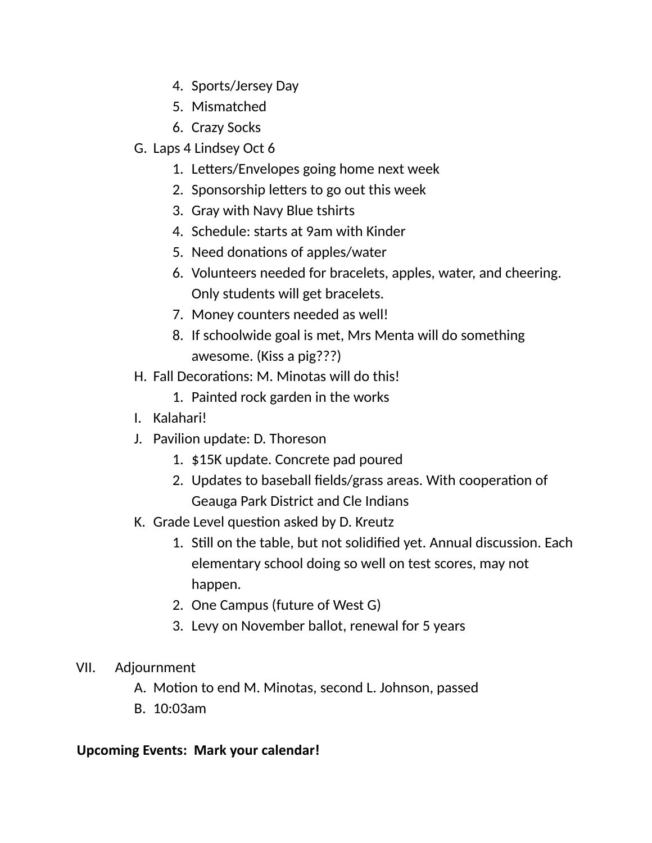- 4. Sports/Jersey Day
- 5. Mismatched
- 6. Crazy Socks
- G. Laps 4 Lindsey Oct 6
	- 1. Letters/Envelopes going home next week
	- 2. Sponsorship letters to go out this week
	- 3. Gray with Navy Blue tshirts
	- 4. Schedule: starts at 9am with Kinder
	- 5. Need donations of apples/water
	- 6. Volunteers needed for bracelets, apples, water, and cheering. Only students will get bracelets.
	- 7. Money counters needed as well!
	- 8. If schoolwide goal is met, Mrs Menta will do something awesome. (Kiss a pig???)
- H. Fall Decorations: M. Minotas will do this!
	- 1. Painted rock garden in the works
- I. Kalahari!
- J. Pavilion update: D. Thoreson
	- 1. \$15K update. Concrete pad poured
	- 2. Updates to baseball fields/grass areas. With cooperation of Geauga Park District and Cle Indians
- K. Grade Level question asked by D. Kreutz
	- 1. Still on the table, but not solidified yet. Annual discussion. Each elementary school doing so well on test scores, may not happen.
	- 2. One Campus (future of West G)
	- 3. Levy on November ballot, renewal for 5 years

### VII. Adjournment

- A. Motion to end M. Minotas, second L. Johnson, passed
- B. 10:03am

### **Upcoming Events: Mark your calendar!**